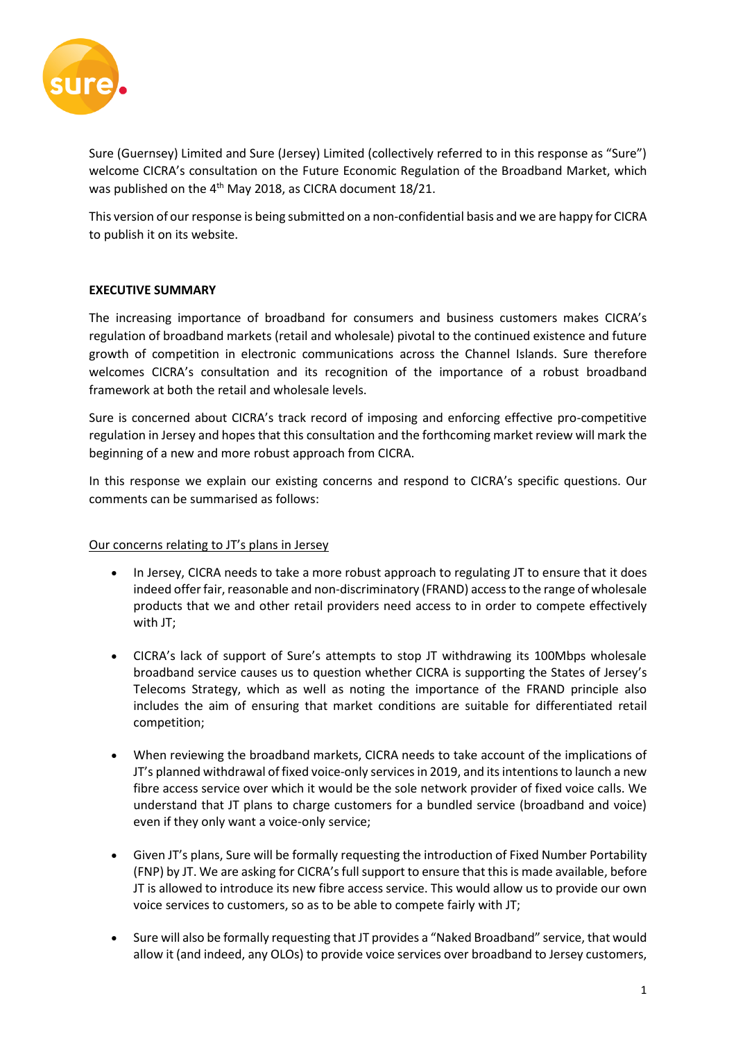

Sure (Guernsey) Limited and Sure (Jersey) Limited (collectively referred to in this response as "Sure") welcome CICRA's consultation on the Future Economic Regulation of the Broadband Market, which was published on the 4<sup>th</sup> May 2018, as CICRA document 18/21.

This version of our response is being submitted on a non-confidential basis and we are happy for CICRA to publish it on its website.

### **EXECUTIVE SUMMARY**

The increasing importance of broadband for consumers and business customers makes CICRA's regulation of broadband markets (retail and wholesale) pivotal to the continued existence and future growth of competition in electronic communications across the Channel Islands. Sure therefore welcomes CICRA's consultation and its recognition of the importance of a robust broadband framework at both the retail and wholesale levels.

Sure is concerned about CICRA's track record of imposing and enforcing effective pro-competitive regulation in Jersey and hopes that this consultation and the forthcoming market review will mark the beginning of a new and more robust approach from CICRA.

In this response we explain our existing concerns and respond to CICRA's specific questions. Our comments can be summarised as follows:

### Our concerns relating to JT's plans in Jersey

- In Jersey, CICRA needs to take a more robust approach to regulating JT to ensure that it does indeed offer fair, reasonable and non-discriminatory (FRAND) access to the range of wholesale products that we and other retail providers need access to in order to compete effectively with JT;
- CICRA's lack of support of Sure's attempts to stop JT withdrawing its 100Mbps wholesale broadband service causes us to question whether CICRA is supporting the States of Jersey's Telecoms Strategy, which as well as noting the importance of the FRAND principle also includes the aim of ensuring that market conditions are suitable for differentiated retail competition;
- When reviewing the broadband markets, CICRA needs to take account of the implications of JT's planned withdrawal of fixed voice-only services in 2019, and its intentions to launch a new fibre access service over which it would be the sole network provider of fixed voice calls. We understand that JT plans to charge customers for a bundled service (broadband and voice) even if they only want a voice-only service;
- Given JT's plans, Sure will be formally requesting the introduction of Fixed Number Portability (FNP) by JT. We are asking for CICRA's full support to ensure that this is made available, before JT is allowed to introduce its new fibre access service. This would allow us to provide our own voice services to customers, so as to be able to compete fairly with JT;
- Sure will also be formally requesting that JT provides a "Naked Broadband" service, that would allow it (and indeed, any OLOs) to provide voice services over broadband to Jersey customers,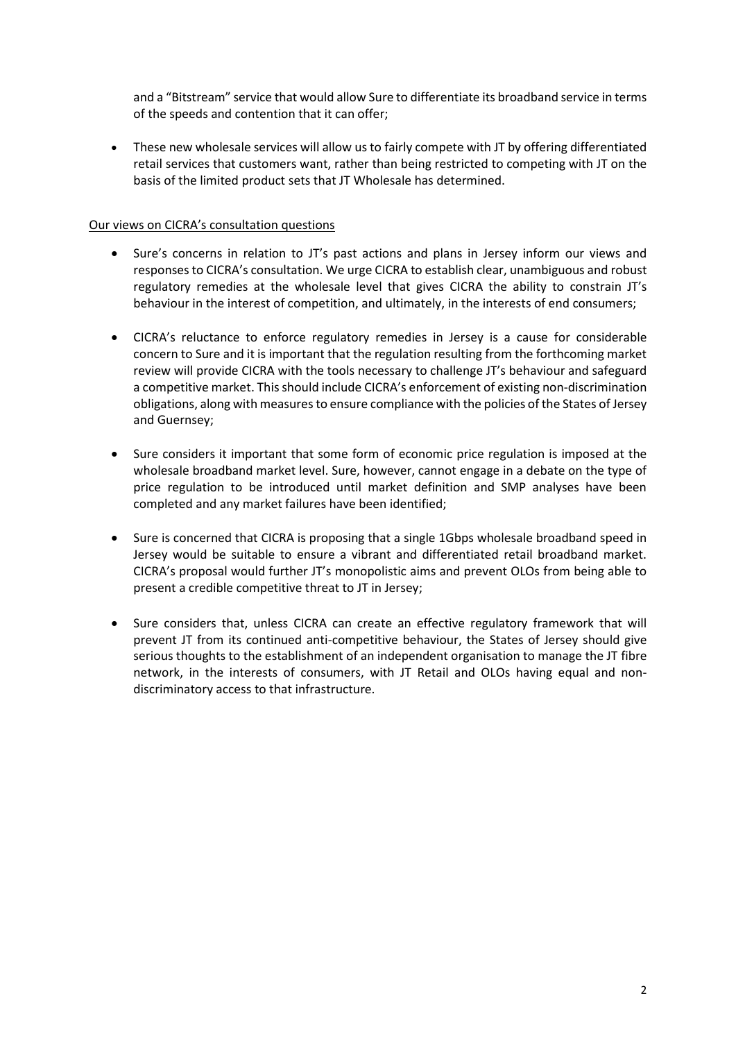and a "Bitstream" service that would allow Sure to differentiate its broadband service in terms of the speeds and contention that it can offer;

• These new wholesale services will allow us to fairly compete with JT by offering differentiated retail services that customers want, rather than being restricted to competing with JT on the basis of the limited product sets that JT Wholesale has determined.

### Our views on CICRA's consultation questions

- Sure's concerns in relation to JT's past actions and plans in Jersey inform our views and responses to CICRA's consultation. We urge CICRA to establish clear, unambiguous and robust regulatory remedies at the wholesale level that gives CICRA the ability to constrain JT's behaviour in the interest of competition, and ultimately, in the interests of end consumers;
- CICRA's reluctance to enforce regulatory remedies in Jersey is a cause for considerable concern to Sure and it is important that the regulation resulting from the forthcoming market review will provide CICRA with the tools necessary to challenge JT's behaviour and safeguard a competitive market. This should include CICRA's enforcement of existing non-discrimination obligations, along with measures to ensure compliance with the policies of the States of Jersey and Guernsey;
- Sure considers it important that some form of economic price regulation is imposed at the wholesale broadband market level. Sure, however, cannot engage in a debate on the type of price regulation to be introduced until market definition and SMP analyses have been completed and any market failures have been identified;
- Sure is concerned that CICRA is proposing that a single 1Gbps wholesale broadband speed in Jersey would be suitable to ensure a vibrant and differentiated retail broadband market. CICRA's proposal would further JT's monopolistic aims and prevent OLOs from being able to present a credible competitive threat to JT in Jersey;
- Sure considers that, unless CICRA can create an effective regulatory framework that will prevent JT from its continued anti-competitive behaviour, the States of Jersey should give serious thoughts to the establishment of an independent organisation to manage the JT fibre network, in the interests of consumers, with JT Retail and OLOs having equal and nondiscriminatory access to that infrastructure.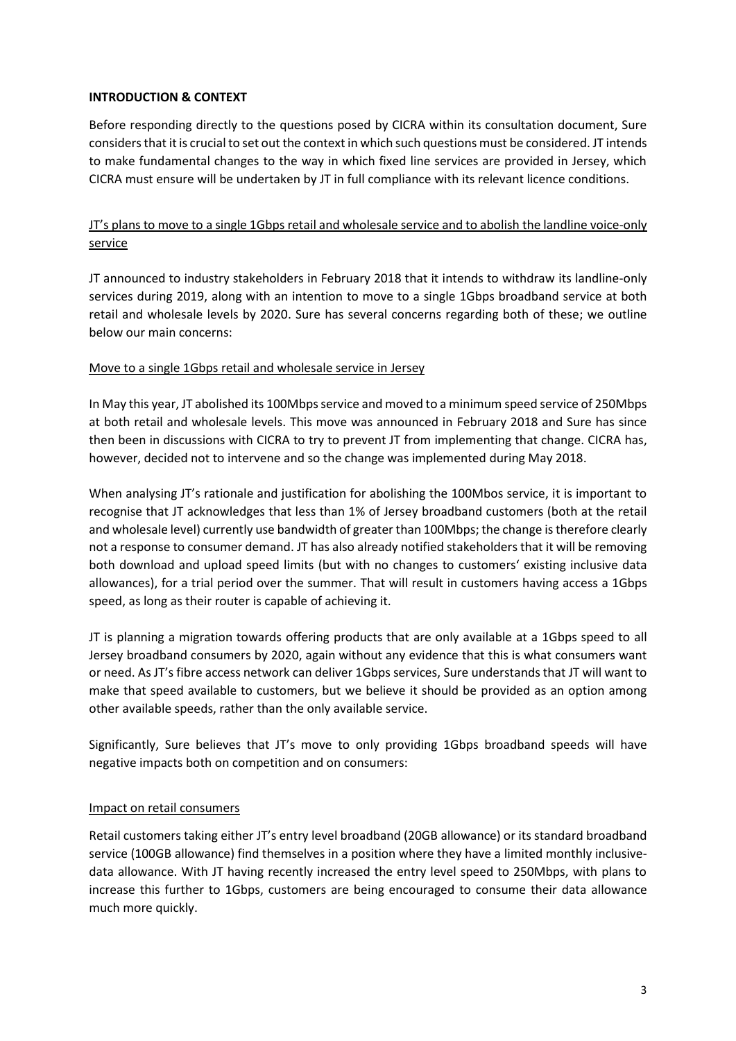### **INTRODUCTION & CONTEXT**

Before responding directly to the questions posed by CICRA within its consultation document, Sure considers that it is crucial to set out the context in which such questions must be considered. JT intends to make fundamental changes to the way in which fixed line services are provided in Jersey, which CICRA must ensure will be undertaken by JT in full compliance with its relevant licence conditions.

# JT's plans to move to a single 1Gbps retail and wholesale service and to abolish the landline voice-only service

JT announced to industry stakeholders in February 2018 that it intends to withdraw its landline-only services during 2019, along with an intention to move to a single 1Gbps broadband service at both retail and wholesale levels by 2020. Sure has several concerns regarding both of these; we outline below our main concerns:

### Move to a single 1Gbps retail and wholesale service in Jersey

In May this year, JT abolished its 100Mbps service and moved to a minimum speed service of 250Mbps at both retail and wholesale levels. This move was announced in February 2018 and Sure has since then been in discussions with CICRA to try to prevent JT from implementing that change. CICRA has, however, decided not to intervene and so the change was implemented during May 2018.

When analysing JT's rationale and justification for abolishing the 100Mbos service, it is important to recognise that JT acknowledges that less than 1% of Jersey broadband customers (both at the retail and wholesale level) currently use bandwidth of greater than 100Mbps; the change is therefore clearly not a response to consumer demand. JT has also already notified stakeholders that it will be removing both download and upload speed limits (but with no changes to customers' existing inclusive data allowances), for a trial period over the summer. That will result in customers having access a 1Gbps speed, as long as their router is capable of achieving it.

JT is planning a migration towards offering products that are only available at a 1Gbps speed to all Jersey broadband consumers by 2020, again without any evidence that this is what consumers want or need. As JT's fibre access network can deliver 1Gbps services, Sure understands that JT will want to make that speed available to customers, but we believe it should be provided as an option among other available speeds, rather than the only available service.

Significantly, Sure believes that JT's move to only providing 1Gbps broadband speeds will have negative impacts both on competition and on consumers:

### Impact on retail consumers

Retail customers taking either JT's entry level broadband (20GB allowance) or its standard broadband service (100GB allowance) find themselves in a position where they have a limited monthly inclusivedata allowance. With JT having recently increased the entry level speed to 250Mbps, with plans to increase this further to 1Gbps, customers are being encouraged to consume their data allowance much more quickly.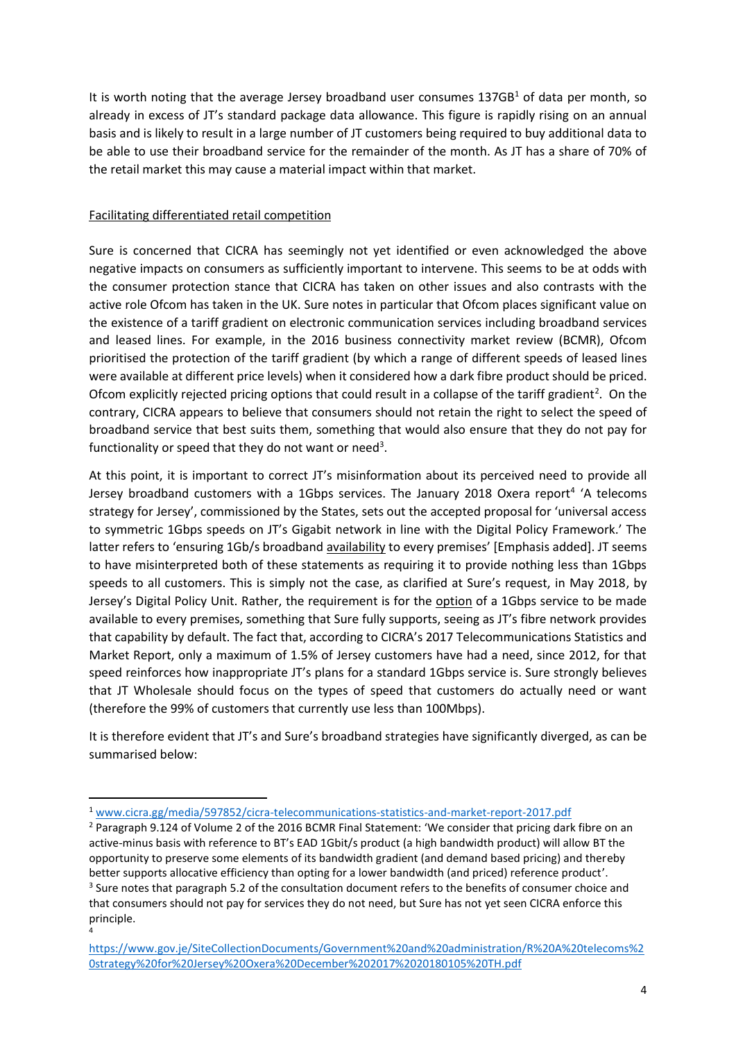It is worth noting that the average Jersey broadband user consumes  $137GB<sup>1</sup>$  of data per month, so already in excess of JT's standard package data allowance. This figure is rapidly rising on an annual basis and is likely to result in a large number of JT customers being required to buy additional data to be able to use their broadband service for the remainder of the month. As JT has a share of 70% of the retail market this may cause a material impact within that market.

## Facilitating differentiated retail competition

**.** 

Sure is concerned that CICRA has seemingly not yet identified or even acknowledged the above negative impacts on consumers as sufficiently important to intervene. This seems to be at odds with the consumer protection stance that CICRA has taken on other issues and also contrasts with the active role Ofcom has taken in the UK. Sure notes in particular that Ofcom places significant value on the existence of a tariff gradient on electronic communication services including broadband services and leased lines. For example, in the 2016 business connectivity market review (BCMR), Ofcom prioritised the protection of the tariff gradient (by which a range of different speeds of leased lines were available at different price levels) when it considered how a dark fibre product should be priced. Ofcom explicitly rejected pricing options that could result in a collapse of the tariff gradient<sup>2</sup>. On the contrary, CICRA appears to believe that consumers should not retain the right to select the speed of broadband service that best suits them, something that would also ensure that they do not pay for functionality or speed that they do not want or need<sup>3</sup>.

At this point, it is important to correct JT's misinformation about its perceived need to provide all Jersey broadband customers with a 1Gbps services. The January 2018 Oxera report<sup>4</sup> 'A telecoms strategy for Jersey', commissioned by the States, sets out the accepted proposal for 'universal access to symmetric 1Gbps speeds on JT's Gigabit network in line with the Digital Policy Framework.' The latter refers to 'ensuring 1Gb/s broadband availability to every premises' [Emphasis added]. JT seems to have misinterpreted both of these statements as requiring it to provide nothing less than 1Gbps speeds to all customers. This is simply not the case, as clarified at Sure's request, in May 2018, by Jersey's Digital Policy Unit. Rather, the requirement is for the option of a 1Gbps service to be made available to every premises, something that Sure fully supports, seeing as JT's fibre network provides that capability by default. The fact that, according to CICRA's 2017 Telecommunications Statistics and Market Report, only a maximum of 1.5% of Jersey customers have had a need, since 2012, for that speed reinforces how inappropriate JT's plans for a standard 1Gbps service is. Sure strongly believes that JT Wholesale should focus on the types of speed that customers do actually need or want (therefore the 99% of customers that currently use less than 100Mbps).

It is therefore evident that JT's and Sure's broadband strategies have significantly diverged, as can be summarised below:

<sup>1</sup> [www.cicra.gg/media/597852/cicra-telecommunications-statistics-and-market-report-2017.pdf](http://www.cicra.gg/media/597852/cicra-telecommunications-statistics-and-market-report-2017.pdf)

<sup>&</sup>lt;sup>2</sup> Paragraph 9.124 of Volume 2 of the 2016 BCMR Final Statement: 'We consider that pricing dark fibre on an active-minus basis with reference to BT's EAD 1Gbit/s product (a high bandwidth product) will allow BT the opportunity to preserve some elements of its bandwidth gradient (and demand based pricing) and thereby better supports allocative efficiency than opting for a lower bandwidth (and priced) reference product'. <sup>3</sup> Sure notes that paragraph 5.2 of the consultation document refers to the benefits of consumer choice and that consumers should not pay for services they do not need, but Sure has not yet seen CICRA enforce this principle. 4

[https://www.gov.je/SiteCollectionDocuments/Government%20and%20administration/R%20A%20telecoms%2](https://www.gov.je/SiteCollectionDocuments/Government%20and%20administration/R%20A%20telecoms%20strategy%20for%20Jersey%20Oxera%20December%202017%2020180105%20TH.pdf) [0strategy%20for%20Jersey%20Oxera%20December%202017%2020180105%20TH.pdf](https://www.gov.je/SiteCollectionDocuments/Government%20and%20administration/R%20A%20telecoms%20strategy%20for%20Jersey%20Oxera%20December%202017%2020180105%20TH.pdf)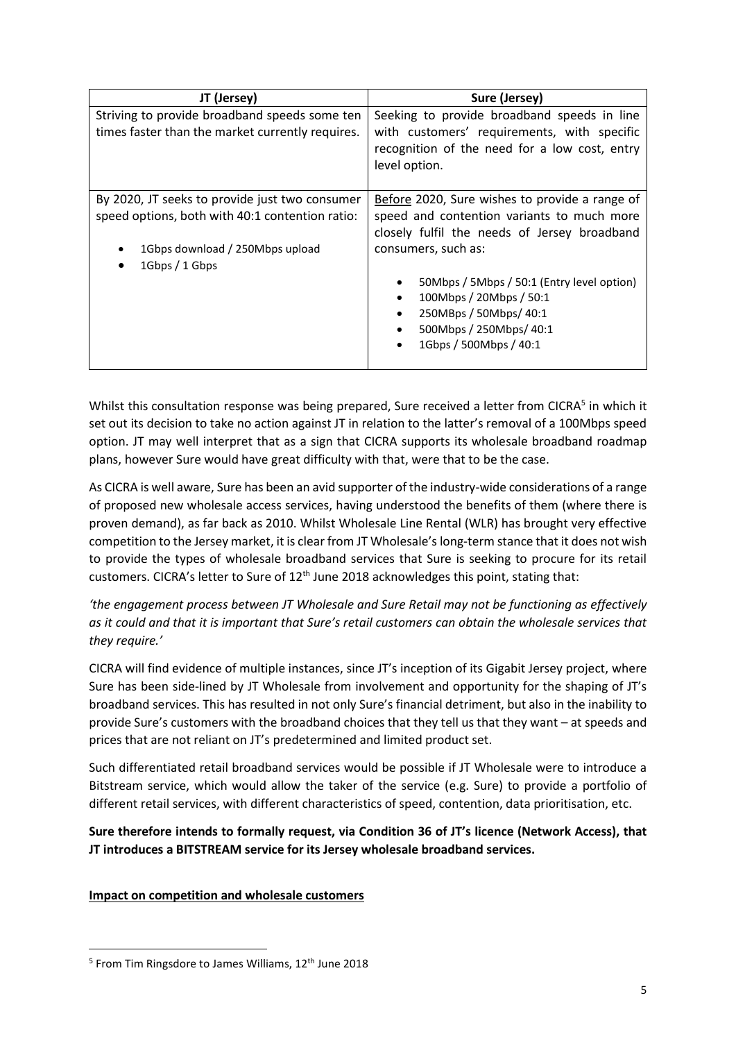| JT (Jersey)                                      | Sure (Jersey)                                  |
|--------------------------------------------------|------------------------------------------------|
| Striving to provide broadband speeds some ten    | Seeking to provide broadband speeds in line    |
| times faster than the market currently requires. | with customers' requirements, with specific    |
|                                                  | recognition of the need for a low cost, entry  |
|                                                  | level option.                                  |
|                                                  |                                                |
| By 2020, JT seeks to provide just two consumer   | Before 2020, Sure wishes to provide a range of |
| speed options, both with 40:1 contention ratio:  | speed and contention variants to much more     |
|                                                  | closely fulfil the needs of Jersey broadband   |
| 1Gbps download / 250Mbps upload                  | consumers, such as:                            |
| 1Gbps / 1Gbps                                    |                                                |
|                                                  | 50Mbps / 5Mbps / 50:1 (Entry level option)     |
|                                                  | 100Mbps / 20Mbps / 50:1                        |
|                                                  | 250MBps / 50Mbps/ 40:1<br>٠                    |
|                                                  | 500Mbps / 250Mbps/ 40:1                        |
|                                                  | 1Gbps / 500Mbps / 40:1                         |
|                                                  |                                                |

Whilst this consultation response was being prepared, Sure received a letter from CICRA<sup>5</sup> in which it set out its decision to take no action against JT in relation to the latter's removal of a 100Mbps speed option. JT may well interpret that as a sign that CICRA supports its wholesale broadband roadmap plans, however Sure would have great difficulty with that, were that to be the case.

As CICRA is well aware, Sure has been an avid supporter of the industry-wide considerations of a range of proposed new wholesale access services, having understood the benefits of them (where there is proven demand), as far back as 2010. Whilst Wholesale Line Rental (WLR) has brought very effective competition to the Jersey market, it is clear from JT Wholesale's long-term stance that it does not wish to provide the types of wholesale broadband services that Sure is seeking to procure for its retail customers. CICRA's letter to Sure of 12<sup>th</sup> June 2018 acknowledges this point, stating that:

*'the engagement process between JT Wholesale and Sure Retail may not be functioning as effectively as it could and that it is important that Sure's retail customers can obtain the wholesale services that they require.'*

CICRA will find evidence of multiple instances, since JT's inception of its Gigabit Jersey project, where Sure has been side-lined by JT Wholesale from involvement and opportunity for the shaping of JT's broadband services. This has resulted in not only Sure's financial detriment, but also in the inability to provide Sure's customers with the broadband choices that they tell us that they want – at speeds and prices that are not reliant on JT's predetermined and limited product set.

Such differentiated retail broadband services would be possible if JT Wholesale were to introduce a Bitstream service, which would allow the taker of the service (e.g. Sure) to provide a portfolio of different retail services, with different characteristics of speed, contention, data prioritisation, etc.

**Sure therefore intends to formally request, via Condition 36 of JT's licence (Network Access), that JT introduces a BITSTREAM service for its Jersey wholesale broadband services.**

## **Impact on competition and wholesale customers**

**.** 

<sup>&</sup>lt;sup>5</sup> From Tim Ringsdore to James Williams, 12<sup>th</sup> June 2018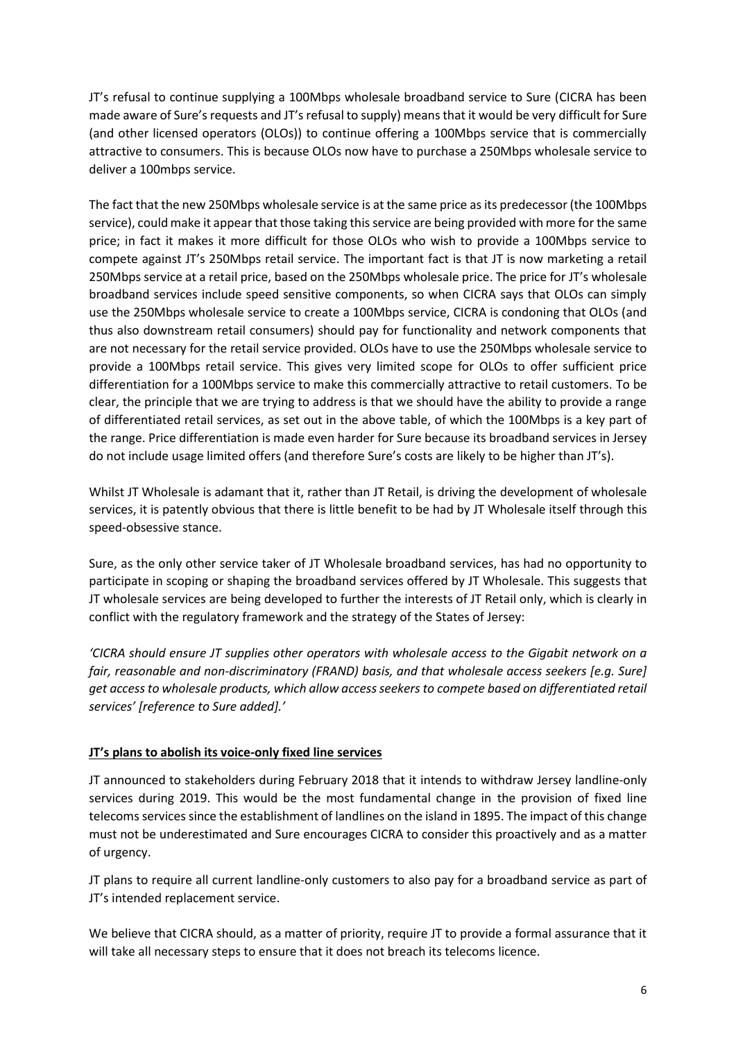JT's refusal to continue supplying a 100Mbps wholesale broadband service to Sure (CICRA has been made aware of Sure's requests and JT's refusal to supply) means that it would be very difficult for Sure (and other licensed operators (OLOs)) to continue offering a 100Mbps service that is commercially attractive to consumers. This is because OLOs now have to purchase a 250Mbps wholesale service to deliver a 100mbps service.

The fact that the new 250Mbps wholesale service is at the same price as its predecessor (the 100Mbps service), could make it appear that those taking this service are being provided with more for the same price; in fact it makes it more difficult for those OLOs who wish to provide a 100Mbps service to compete against JT's 250Mbps retail service. The important fact is that JT is now marketing a retail 250Mbps service at a retail price, based on the 250Mbps wholesale price. The price for JT's wholesale broadband services include speed sensitive components, so when CICRA says that OLOs can simply use the 250Mbps wholesale service to create a 100Mbps service, CICRA is condoning that OLOs (and thus also downstream retail consumers) should pay for functionality and network components that are not necessary for the retail service provided. OLOs have to use the 250Mbps wholesale service to provide a 100Mbps retail service. This gives very limited scope for OLOs to offer sufficient price differentiation for a 100Mbps service to make this commercially attractive to retail customers. To be clear, the principle that we are trying to address is that we should have the ability to provide a range of differentiated retail services, as set out in the above table, of which the 100Mbps is a key part of the range. Price differentiation is made even harder for Sure because its broadband services in Jersey do not include usage limited offers (and therefore Sure's costs are likely to be higher than JT's).

Whilst JT Wholesale is adamant that it, rather than JT Retail, is driving the development of wholesale services, it is patently obvious that there is little benefit to be had by JT Wholesale itself through this speed-obsessive stance.

Sure, as the only other service taker of JT Wholesale broadband services, has had no opportunity to participate in scoping or shaping the broadband services offered by JT Wholesale. This suggests that JT wholesale services are being developed to further the interests of JT Retail only, which is clearly in conflict with the regulatory framework and the strategy of the States of Jersey:

*'CICRA should ensure JT supplies other operators with wholesale access to the Gigabit network on a fair, reasonable and non-discriminatory (FRAND) basis, and that wholesale access seekers [e.g. Sure] get access to wholesale products, which allow access seekers to compete based on differentiated retail services' [reference to Sure added].'*

## **JT's plans to abolish its voice-only fixed line services**

JT announced to stakeholders during February 2018 that it intends to withdraw Jersey landline-only services during 2019. This would be the most fundamental change in the provision of fixed line telecoms services since the establishment of landlines on the island in 1895. The impact of this change must not be underestimated and Sure encourages CICRA to consider this proactively and as a matter of urgency.

JT plans to require all current landline-only customers to also pay for a broadband service as part of JT's intended replacement service.

We believe that CICRA should, as a matter of priority, require JT to provide a formal assurance that it will take all necessary steps to ensure that it does not breach its telecoms licence.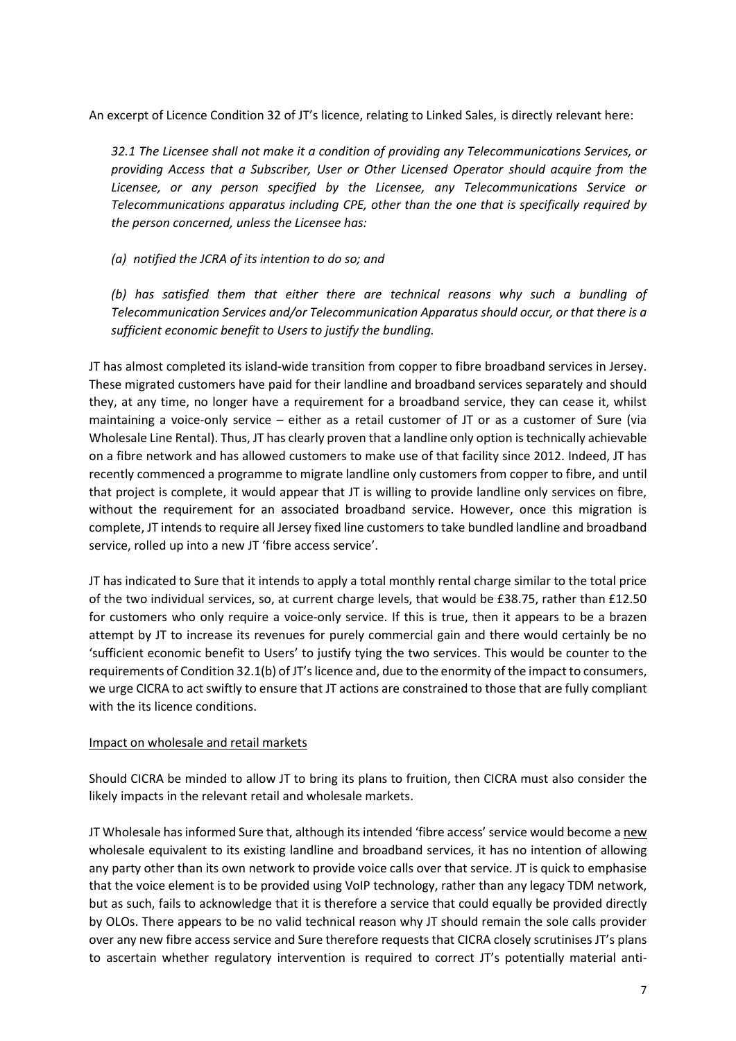An excerpt of Licence Condition 32 of JT's licence, relating to Linked Sales, is directly relevant here:

*32.1 The Licensee shall not make it a condition of providing any Telecommunications Services, or providing Access that a Subscriber, User or Other Licensed Operator should acquire from the Licensee, or any person specified by the Licensee, any Telecommunications Service or Telecommunications apparatus including CPE, other than the one that is specifically required by the person concerned, unless the Licensee has:*

*(a) notified the JCRA of its intention to do so; and*

*(b) has satisfied them that either there are technical reasons why such a bundling of Telecommunication Services and/or Telecommunication Apparatus should occur, or that there is a sufficient economic benefit to Users to justify the bundling.*

JT has almost completed its island-wide transition from copper to fibre broadband services in Jersey. These migrated customers have paid for their landline and broadband services separately and should they, at any time, no longer have a requirement for a broadband service, they can cease it, whilst maintaining a voice-only service – either as a retail customer of JT or as a customer of Sure (via Wholesale Line Rental). Thus, JT has clearly proven that a landline only option is technically achievable on a fibre network and has allowed customers to make use of that facility since 2012. Indeed, JT has recently commenced a programme to migrate landline only customers from copper to fibre, and until that project is complete, it would appear that JT is willing to provide landline only services on fibre, without the requirement for an associated broadband service. However, once this migration is complete, JT intends to require all Jersey fixed line customers to take bundled landline and broadband service, rolled up into a new JT 'fibre access service'.

JT has indicated to Sure that it intends to apply a total monthly rental charge similar to the total price of the two individual services, so, at current charge levels, that would be £38.75, rather than £12.50 for customers who only require a voice-only service. If this is true, then it appears to be a brazen attempt by JT to increase its revenues for purely commercial gain and there would certainly be no 'sufficient economic benefit to Users' to justify tying the two services. This would be counter to the requirements of Condition 32.1(b) of JT's licence and, due to the enormity of the impact to consumers, we urge CICRA to act swiftly to ensure that JT actions are constrained to those that are fully compliant with the its licence conditions.

### Impact on wholesale and retail markets

Should CICRA be minded to allow JT to bring its plans to fruition, then CICRA must also consider the likely impacts in the relevant retail and wholesale markets.

JT Wholesale has informed Sure that, although its intended 'fibre access' service would become a new wholesale equivalent to its existing landline and broadband services, it has no intention of allowing any party other than its own network to provide voice calls over that service. JT is quick to emphasise that the voice element is to be provided using VoIP technology, rather than any legacy TDM network, but as such, fails to acknowledge that it is therefore a service that could equally be provided directly by OLOs. There appears to be no valid technical reason why JT should remain the sole calls provider over any new fibre access service and Sure therefore requests that CICRA closely scrutinises JT's plans to ascertain whether regulatory intervention is required to correct JT's potentially material anti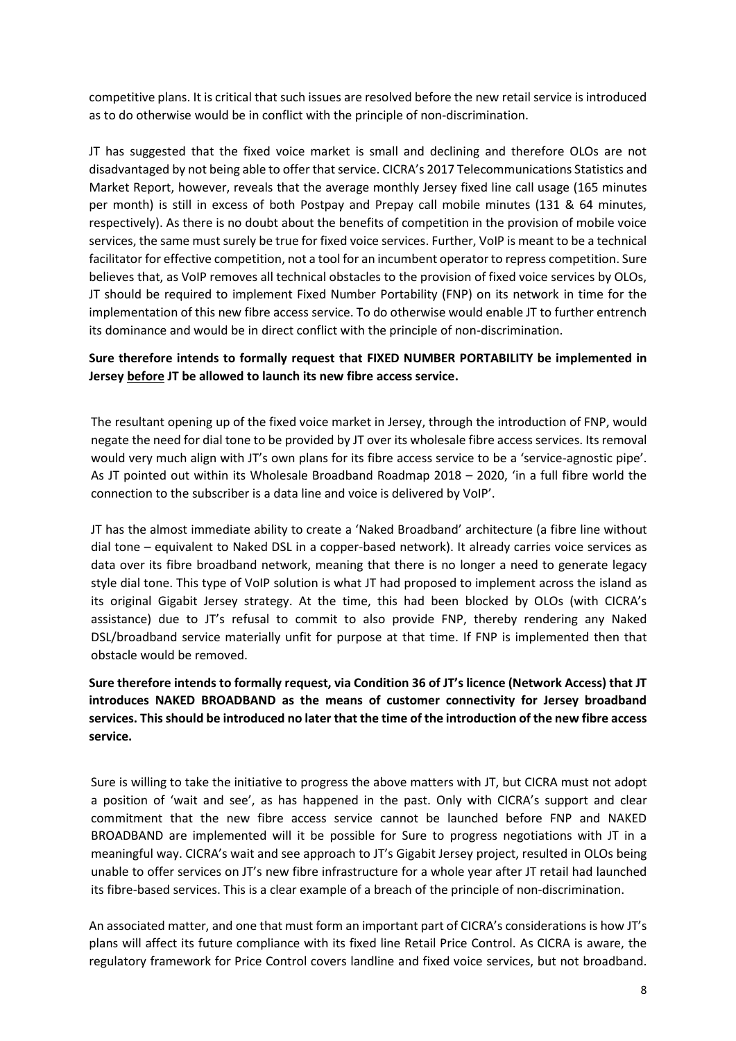competitive plans. It is critical that such issues are resolved before the new retail service is introduced as to do otherwise would be in conflict with the principle of non-discrimination.

JT has suggested that the fixed voice market is small and declining and therefore OLOs are not disadvantaged by not being able to offer that service. CICRA's 2017 Telecommunications Statistics and Market Report, however, reveals that the average monthly Jersey fixed line call usage (165 minutes per month) is still in excess of both Postpay and Prepay call mobile minutes (131 & 64 minutes, respectively). As there is no doubt about the benefits of competition in the provision of mobile voice services, the same must surely be true for fixed voice services. Further, VoIP is meant to be a technical facilitator for effective competition, not a tool for an incumbent operator to repress competition. Sure believes that, as VoIP removes all technical obstacles to the provision of fixed voice services by OLOs, JT should be required to implement Fixed Number Portability (FNP) on its network in time for the implementation of this new fibre access service. To do otherwise would enable JT to further entrench its dominance and would be in direct conflict with the principle of non-discrimination.

# **Sure therefore intends to formally request that FIXED NUMBER PORTABILITY be implemented in Jersey before JT be allowed to launch its new fibre access service.**

The resultant opening up of the fixed voice market in Jersey, through the introduction of FNP, would negate the need for dial tone to be provided by JT over its wholesale fibre access services. Its removal would very much align with JT's own plans for its fibre access service to be a 'service-agnostic pipe'. As JT pointed out within its Wholesale Broadband Roadmap 2018 – 2020, 'in a full fibre world the connection to the subscriber is a data line and voice is delivered by VoIP'.

JT has the almost immediate ability to create a 'Naked Broadband' architecture (a fibre line without dial tone – equivalent to Naked DSL in a copper-based network). It already carries voice services as data over its fibre broadband network, meaning that there is no longer a need to generate legacy style dial tone. This type of VoIP solution is what JT had proposed to implement across the island as its original Gigabit Jersey strategy. At the time, this had been blocked by OLOs (with CICRA's assistance) due to JT's refusal to commit to also provide FNP, thereby rendering any Naked DSL/broadband service materially unfit for purpose at that time. If FNP is implemented then that obstacle would be removed.

**Sure therefore intends to formally request, via Condition 36 of JT's licence (Network Access) that JT introduces NAKED BROADBAND as the means of customer connectivity for Jersey broadband services. This should be introduced no later that the time of the introduction of the new fibre access service.**

Sure is willing to take the initiative to progress the above matters with JT, but CICRA must not adopt a position of 'wait and see', as has happened in the past. Only with CICRA's support and clear commitment that the new fibre access service cannot be launched before FNP and NAKED BROADBAND are implemented will it be possible for Sure to progress negotiations with JT in a meaningful way. CICRA's wait and see approach to JT's Gigabit Jersey project, resulted in OLOs being unable to offer services on JT's new fibre infrastructure for a whole year after JT retail had launched its fibre-based services. This is a clear example of a breach of the principle of non-discrimination.

An associated matter, and one that must form an important part of CICRA's considerations is how JT's plans will affect its future compliance with its fixed line Retail Price Control. As CICRA is aware, the regulatory framework for Price Control covers landline and fixed voice services, but not broadband.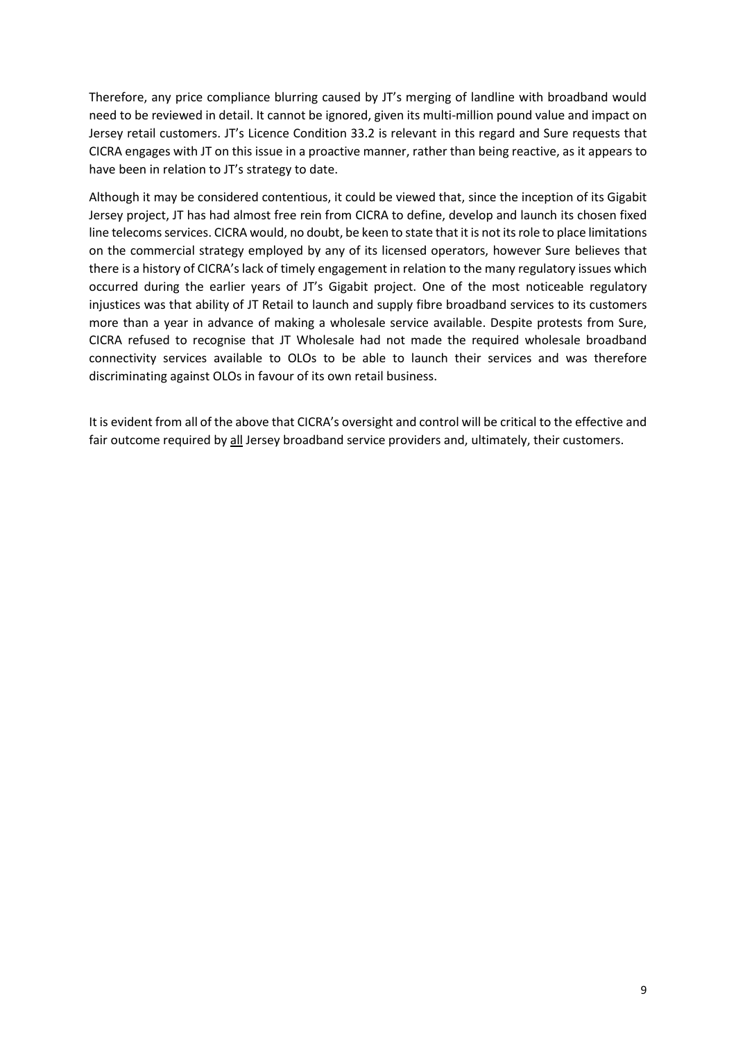Therefore, any price compliance blurring caused by JT's merging of landline with broadband would need to be reviewed in detail. It cannot be ignored, given its multi-million pound value and impact on Jersey retail customers. JT's Licence Condition 33.2 is relevant in this regard and Sure requests that CICRA engages with JT on this issue in a proactive manner, rather than being reactive, as it appears to have been in relation to JT's strategy to date.

Although it may be considered contentious, it could be viewed that, since the inception of its Gigabit Jersey project, JT has had almost free rein from CICRA to define, develop and launch its chosen fixed line telecoms services. CICRA would, no doubt, be keen to state that it is not its role to place limitations on the commercial strategy employed by any of its licensed operators, however Sure believes that there is a history of CICRA's lack of timely engagement in relation to the many regulatory issues which occurred during the earlier years of JT's Gigabit project. One of the most noticeable regulatory injustices was that ability of JT Retail to launch and supply fibre broadband services to its customers more than a year in advance of making a wholesale service available. Despite protests from Sure, CICRA refused to recognise that JT Wholesale had not made the required wholesale broadband connectivity services available to OLOs to be able to launch their services and was therefore discriminating against OLOs in favour of its own retail business.

It is evident from all of the above that CICRA's oversight and control will be critical to the effective and fair outcome required by all Jersey broadband service providers and, ultimately, their customers.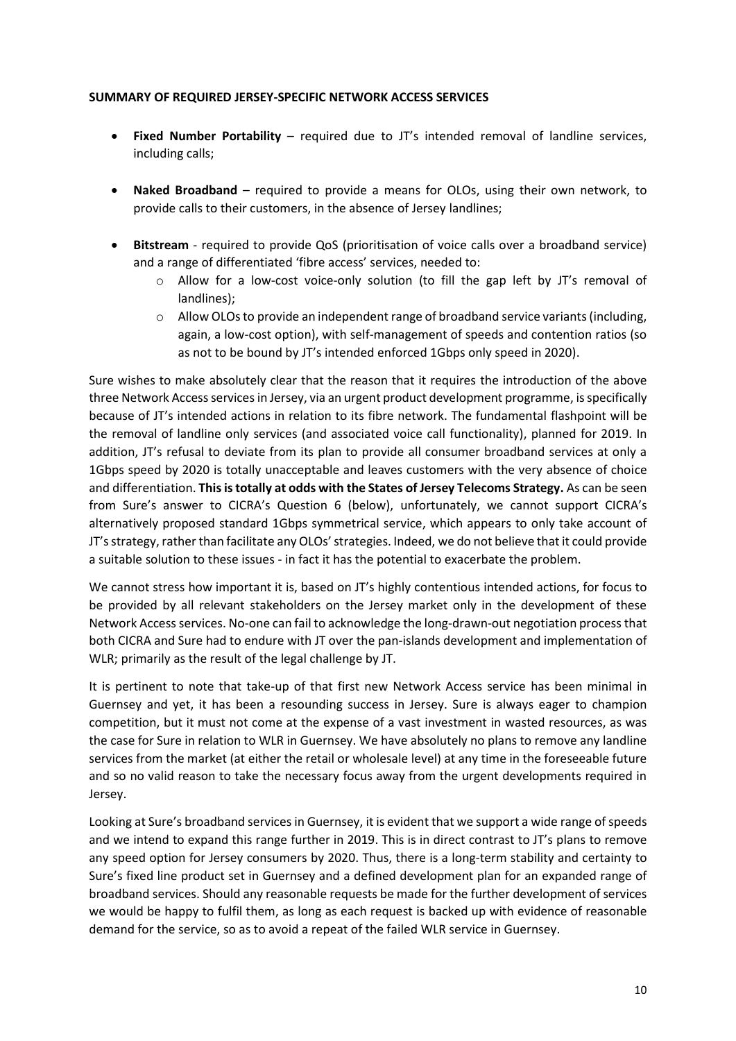### **SUMMARY OF REQUIRED JERSEY-SPECIFIC NETWORK ACCESS SERVICES**

- **Fixed Number Portability** required due to JT's intended removal of landline services, including calls;
- **Naked Broadband** required to provide a means for OLOs, using their own network, to provide calls to their customers, in the absence of Jersey landlines;
- **Bitstream** required to provide QoS (prioritisation of voice calls over a broadband service) and a range of differentiated 'fibre access' services, needed to:
	- $\circ$  Allow for a low-cost voice-only solution (to fill the gap left by JT's removal of landlines);
	- o Allow OLOs to provide an independent range of broadband service variants (including, again, a low-cost option), with self-management of speeds and contention ratios (so as not to be bound by JT's intended enforced 1Gbps only speed in 2020).

Sure wishes to make absolutely clear that the reason that it requires the introduction of the above three Network Access services in Jersey, via an urgent product development programme, is specifically because of JT's intended actions in relation to its fibre network. The fundamental flashpoint will be the removal of landline only services (and associated voice call functionality), planned for 2019. In addition, JT's refusal to deviate from its plan to provide all consumer broadband services at only a 1Gbps speed by 2020 is totally unacceptable and leaves customers with the very absence of choice and differentiation. **This is totally at odds with the States of Jersey Telecoms Strategy.** As can be seen from Sure's answer to CICRA's Question 6 (below), unfortunately, we cannot support CICRA's alternatively proposed standard 1Gbps symmetrical service, which appears to only take account of JT's strategy, rather than facilitate any OLOs' strategies. Indeed, we do not believe that it could provide a suitable solution to these issues - in fact it has the potential to exacerbate the problem.

We cannot stress how important it is, based on JT's highly contentious intended actions, for focus to be provided by all relevant stakeholders on the Jersey market only in the development of these Network Access services. No-one can fail to acknowledge the long-drawn-out negotiation processthat both CICRA and Sure had to endure with JT over the pan-islands development and implementation of WLR; primarily as the result of the legal challenge by JT.

It is pertinent to note that take-up of that first new Network Access service has been minimal in Guernsey and yet, it has been a resounding success in Jersey. Sure is always eager to champion competition, but it must not come at the expense of a vast investment in wasted resources, as was the case for Sure in relation to WLR in Guernsey. We have absolutely no plans to remove any landline services from the market (at either the retail or wholesale level) at any time in the foreseeable future and so no valid reason to take the necessary focus away from the urgent developments required in Jersey.

Looking at Sure's broadband services in Guernsey, it is evident that we support a wide range of speeds and we intend to expand this range further in 2019. This is in direct contrast to JT's plans to remove any speed option for Jersey consumers by 2020. Thus, there is a long-term stability and certainty to Sure's fixed line product set in Guernsey and a defined development plan for an expanded range of broadband services. Should any reasonable requests be made for the further development of services we would be happy to fulfil them, as long as each request is backed up with evidence of reasonable demand for the service, so as to avoid a repeat of the failed WLR service in Guernsey.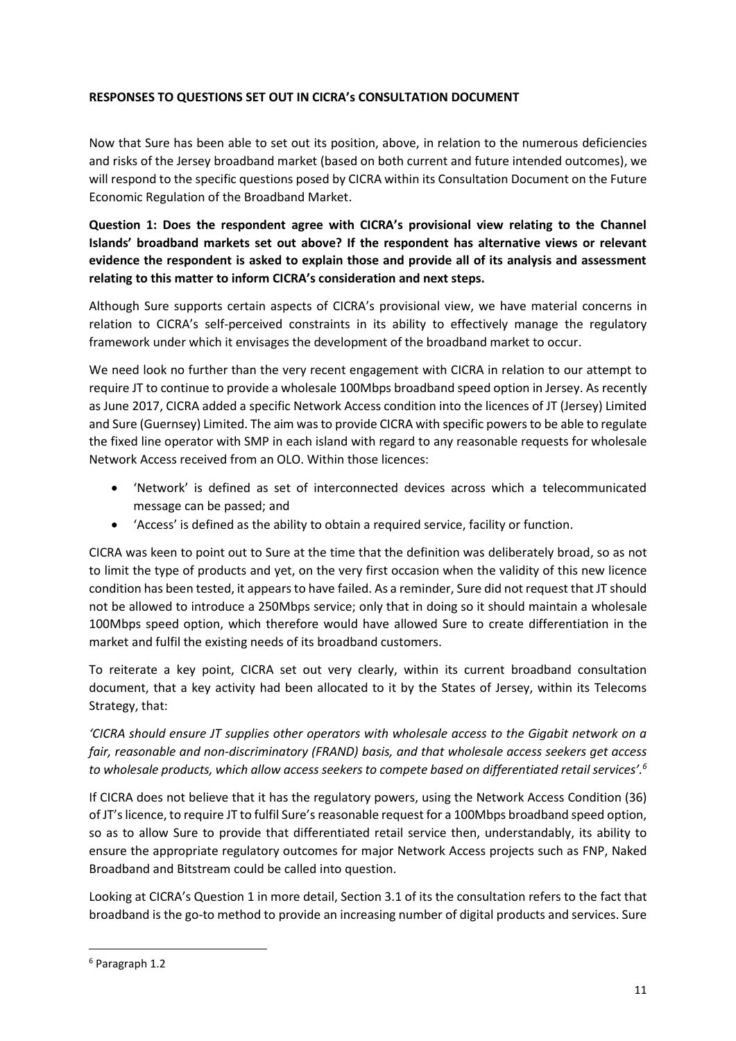## **RESPONSES TO QUESTIONS SET OUT IN CICRA's CONSULTATION DOCUMENT**

Now that Sure has been able to set out its position, above, in relation to the numerous deficiencies and risks of the Jersey broadband market (based on both current and future intended outcomes), we will respond to the specific questions posed by CICRA within its Consultation Document on the Future Economic Regulation of the Broadband Market.

# **Question 1: Does the respondent agree with CICRA's provisional view relating to the Channel Islands' broadband markets set out above? If the respondent has alternative views or relevant evidence the respondent is asked to explain those and provide all of its analysis and assessment relating to this matter to inform CICRA's consideration and next steps.**

Although Sure supports certain aspects of CICRA's provisional view, we have material concerns in relation to CICRA's self-perceived constraints in its ability to effectively manage the regulatory framework under which it envisages the development of the broadband market to occur.

We need look no further than the very recent engagement with CICRA in relation to our attempt to require JT to continue to provide a wholesale 100Mbps broadband speed option in Jersey. As recently as June 2017, CICRA added a specific Network Access condition into the licences of JT (Jersey) Limited and Sure (Guernsey) Limited. The aim was to provide CICRA with specific powers to be able to regulate the fixed line operator with SMP in each island with regard to any reasonable requests for wholesale Network Access received from an OLO. Within those licences:

- 'Network' is defined as set of interconnected devices across which a telecommunicated message can be passed; and
- 'Access' is defined as the ability to obtain a required service, facility or function.

CICRA was keen to point out to Sure at the time that the definition was deliberately broad, so as not to limit the type of products and yet, on the very first occasion when the validity of this new licence condition has been tested, it appears to have failed. As a reminder, Sure did not request that JT should not be allowed to introduce a 250Mbps service; only that in doing so it should maintain a wholesale 100Mbps speed option, which therefore would have allowed Sure to create differentiation in the market and fulfil the existing needs of its broadband customers.

To reiterate a key point, CICRA set out very clearly, within its current broadband consultation document, that a key activity had been allocated to it by the States of Jersey, within its Telecoms Strategy, that:

*'CICRA should ensure JT supplies other operators with wholesale access to the Gigabit network on a fair, reasonable and non-discriminatory (FRAND) basis, and that wholesale access seekers get access to wholesale products, which allow access seekers to compete based on differentiated retail services'.<sup>6</sup>*

If CICRA does not believe that it has the regulatory powers, using the Network Access Condition (36) of JT's licence, to require JT to fulfil Sure's reasonable request for a 100Mbps broadband speed option, so as to allow Sure to provide that differentiated retail service then, understandably, its ability to ensure the appropriate regulatory outcomes for major Network Access projects such as FNP, Naked Broadband and Bitstream could be called into question.

Looking at CICRA's Question 1 in more detail, Section 3.1 of its the consultation refers to the fact that broadband is the go-to method to provide an increasing number of digital products and services. Sure

**.** 

<sup>6</sup> Paragraph 1.2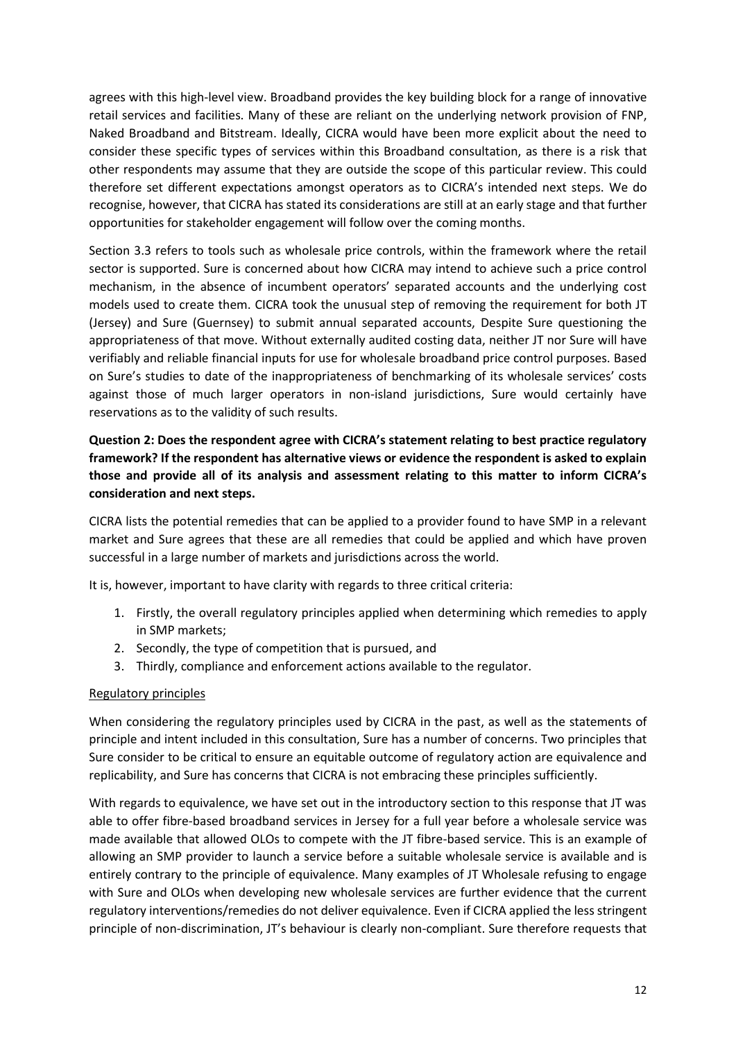agrees with this high-level view. Broadband provides the key building block for a range of innovative retail services and facilities. Many of these are reliant on the underlying network provision of FNP, Naked Broadband and Bitstream. Ideally, CICRA would have been more explicit about the need to consider these specific types of services within this Broadband consultation, as there is a risk that other respondents may assume that they are outside the scope of this particular review. This could therefore set different expectations amongst operators as to CICRA's intended next steps. We do recognise, however, that CICRA has stated its considerations are still at an early stage and that further opportunities for stakeholder engagement will follow over the coming months.

Section 3.3 refers to tools such as wholesale price controls, within the framework where the retail sector is supported. Sure is concerned about how CICRA may intend to achieve such a price control mechanism, in the absence of incumbent operators' separated accounts and the underlying cost models used to create them. CICRA took the unusual step of removing the requirement for both JT (Jersey) and Sure (Guernsey) to submit annual separated accounts, Despite Sure questioning the appropriateness of that move. Without externally audited costing data, neither JT nor Sure will have verifiably and reliable financial inputs for use for wholesale broadband price control purposes. Based on Sure's studies to date of the inappropriateness of benchmarking of its wholesale services' costs against those of much larger operators in non-island jurisdictions, Sure would certainly have reservations as to the validity of such results.

# **Question 2: Does the respondent agree with CICRA's statement relating to best practice regulatory framework? If the respondent has alternative views or evidence the respondent is asked to explain those and provide all of its analysis and assessment relating to this matter to inform CICRA's consideration and next steps.**

CICRA lists the potential remedies that can be applied to a provider found to have SMP in a relevant market and Sure agrees that these are all remedies that could be applied and which have proven successful in a large number of markets and jurisdictions across the world.

It is, however, important to have clarity with regards to three critical criteria:

- 1. Firstly, the overall regulatory principles applied when determining which remedies to apply in SMP markets;
- 2. Secondly, the type of competition that is pursued, and
- 3. Thirdly, compliance and enforcement actions available to the regulator.

### Regulatory principles

When considering the regulatory principles used by CICRA in the past, as well as the statements of principle and intent included in this consultation, Sure has a number of concerns. Two principles that Sure consider to be critical to ensure an equitable outcome of regulatory action are equivalence and replicability, and Sure has concerns that CICRA is not embracing these principles sufficiently.

With regards to equivalence, we have set out in the introductory section to this response that JT was able to offer fibre-based broadband services in Jersey for a full year before a wholesale service was made available that allowed OLOs to compete with the JT fibre-based service. This is an example of allowing an SMP provider to launch a service before a suitable wholesale service is available and is entirely contrary to the principle of equivalence. Many examples of JT Wholesale refusing to engage with Sure and OLOs when developing new wholesale services are further evidence that the current regulatory interventions/remedies do not deliver equivalence. Even if CICRA applied the less stringent principle of non-discrimination, JT's behaviour is clearly non-compliant. Sure therefore requests that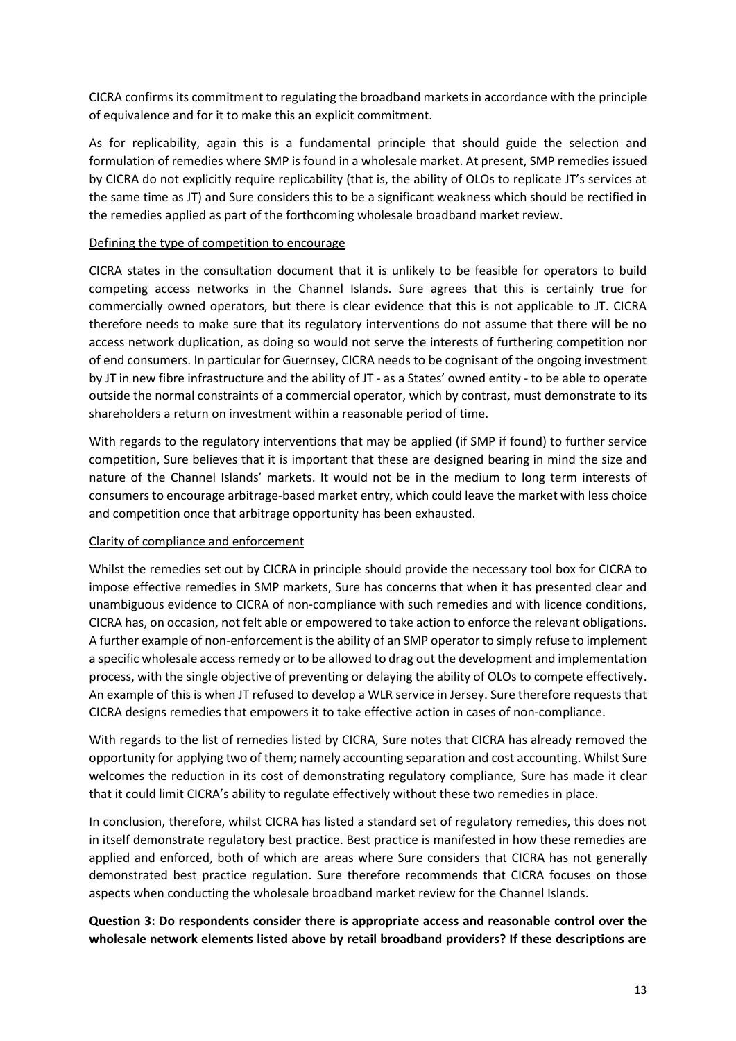CICRA confirms its commitment to regulating the broadband markets in accordance with the principle of equivalence and for it to make this an explicit commitment.

As for replicability, again this is a fundamental principle that should guide the selection and formulation of remedies where SMP is found in a wholesale market. At present, SMP remedies issued by CICRA do not explicitly require replicability (that is, the ability of OLOs to replicate JT's services at the same time as JT) and Sure considers this to be a significant weakness which should be rectified in the remedies applied as part of the forthcoming wholesale broadband market review.

### Defining the type of competition to encourage

CICRA states in the consultation document that it is unlikely to be feasible for operators to build competing access networks in the Channel Islands. Sure agrees that this is certainly true for commercially owned operators, but there is clear evidence that this is not applicable to JT. CICRA therefore needs to make sure that its regulatory interventions do not assume that there will be no access network duplication, as doing so would not serve the interests of furthering competition nor of end consumers. In particular for Guernsey, CICRA needs to be cognisant of the ongoing investment by JT in new fibre infrastructure and the ability of JT - as a States' owned entity - to be able to operate outside the normal constraints of a commercial operator, which by contrast, must demonstrate to its shareholders a return on investment within a reasonable period of time.

With regards to the regulatory interventions that may be applied (if SMP if found) to further service competition, Sure believes that it is important that these are designed bearing in mind the size and nature of the Channel Islands' markets. It would not be in the medium to long term interests of consumers to encourage arbitrage-based market entry, which could leave the market with less choice and competition once that arbitrage opportunity has been exhausted.

## Clarity of compliance and enforcement

Whilst the remedies set out by CICRA in principle should provide the necessary tool box for CICRA to impose effective remedies in SMP markets, Sure has concerns that when it has presented clear and unambiguous evidence to CICRA of non-compliance with such remedies and with licence conditions, CICRA has, on occasion, not felt able or empowered to take action to enforce the relevant obligations. A further example of non-enforcement is the ability of an SMP operator to simply refuse to implement a specific wholesale access remedy or to be allowed to drag out the development and implementation process, with the single objective of preventing or delaying the ability of OLOs to compete effectively. An example of this is when JT refused to develop a WLR service in Jersey. Sure therefore requests that CICRA designs remedies that empowers it to take effective action in cases of non-compliance.

With regards to the list of remedies listed by CICRA, Sure notes that CICRA has already removed the opportunity for applying two of them; namely accounting separation and cost accounting. Whilst Sure welcomes the reduction in its cost of demonstrating regulatory compliance, Sure has made it clear that it could limit CICRA's ability to regulate effectively without these two remedies in place.

In conclusion, therefore, whilst CICRA has listed a standard set of regulatory remedies, this does not in itself demonstrate regulatory best practice. Best practice is manifested in how these remedies are applied and enforced, both of which are areas where Sure considers that CICRA has not generally demonstrated best practice regulation. Sure therefore recommends that CICRA focuses on those aspects when conducting the wholesale broadband market review for the Channel Islands.

# **Question 3: Do respondents consider there is appropriate access and reasonable control over the wholesale network elements listed above by retail broadband providers? If these descriptions are**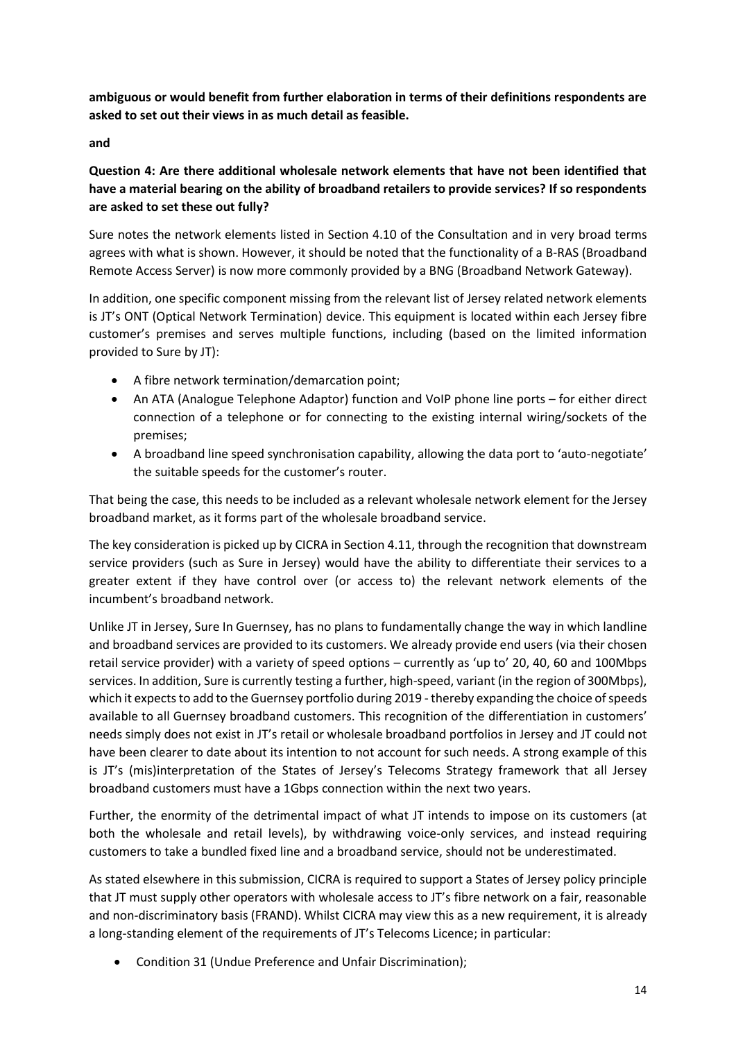**ambiguous or would benefit from further elaboration in terms of their definitions respondents are asked to set out their views in as much detail as feasible.** 

**and**

# **Question 4: Are there additional wholesale network elements that have not been identified that have a material bearing on the ability of broadband retailers to provide services? If so respondents are asked to set these out fully?**

Sure notes the network elements listed in Section 4.10 of the Consultation and in very broad terms agrees with what is shown. However, it should be noted that the functionality of a B-RAS (Broadband Remote Access Server) is now more commonly provided by a BNG (Broadband Network Gateway).

In addition, one specific component missing from the relevant list of Jersey related network elements is JT's ONT (Optical Network Termination) device. This equipment is located within each Jersey fibre customer's premises and serves multiple functions, including (based on the limited information provided to Sure by JT):

- A fibre network termination/demarcation point;
- An ATA (Analogue Telephone Adaptor) function and VoIP phone line ports for either direct connection of a telephone or for connecting to the existing internal wiring/sockets of the premises;
- A broadband line speed synchronisation capability, allowing the data port to 'auto-negotiate' the suitable speeds for the customer's router.

That being the case, this needs to be included as a relevant wholesale network element for the Jersey broadband market, as it forms part of the wholesale broadband service.

The key consideration is picked up by CICRA in Section 4.11, through the recognition that downstream service providers (such as Sure in Jersey) would have the ability to differentiate their services to a greater extent if they have control over (or access to) the relevant network elements of the incumbent's broadband network.

Unlike JT in Jersey, Sure In Guernsey, has no plans to fundamentally change the way in which landline and broadband services are provided to its customers. We already provide end users (via their chosen retail service provider) with a variety of speed options – currently as 'up to' 20, 40, 60 and 100Mbps services. In addition, Sure is currently testing a further, high-speed, variant (in the region of 300Mbps), which it expects to add to the Guernsey portfolio during 2019 - thereby expanding the choice of speeds available to all Guernsey broadband customers. This recognition of the differentiation in customers' needs simply does not exist in JT's retail or wholesale broadband portfolios in Jersey and JT could not have been clearer to date about its intention to not account for such needs. A strong example of this is JT's (mis)interpretation of the States of Jersey's Telecoms Strategy framework that all Jersey broadband customers must have a 1Gbps connection within the next two years.

Further, the enormity of the detrimental impact of what JT intends to impose on its customers (at both the wholesale and retail levels), by withdrawing voice-only services, and instead requiring customers to take a bundled fixed line and a broadband service, should not be underestimated.

As stated elsewhere in this submission, CICRA is required to support a States of Jersey policy principle that JT must supply other operators with wholesale access to JT's fibre network on a fair, reasonable and non-discriminatory basis (FRAND). Whilst CICRA may view this as a new requirement, it is already a long-standing element of the requirements of JT's Telecoms Licence; in particular:

• Condition 31 (Undue Preference and Unfair Discrimination);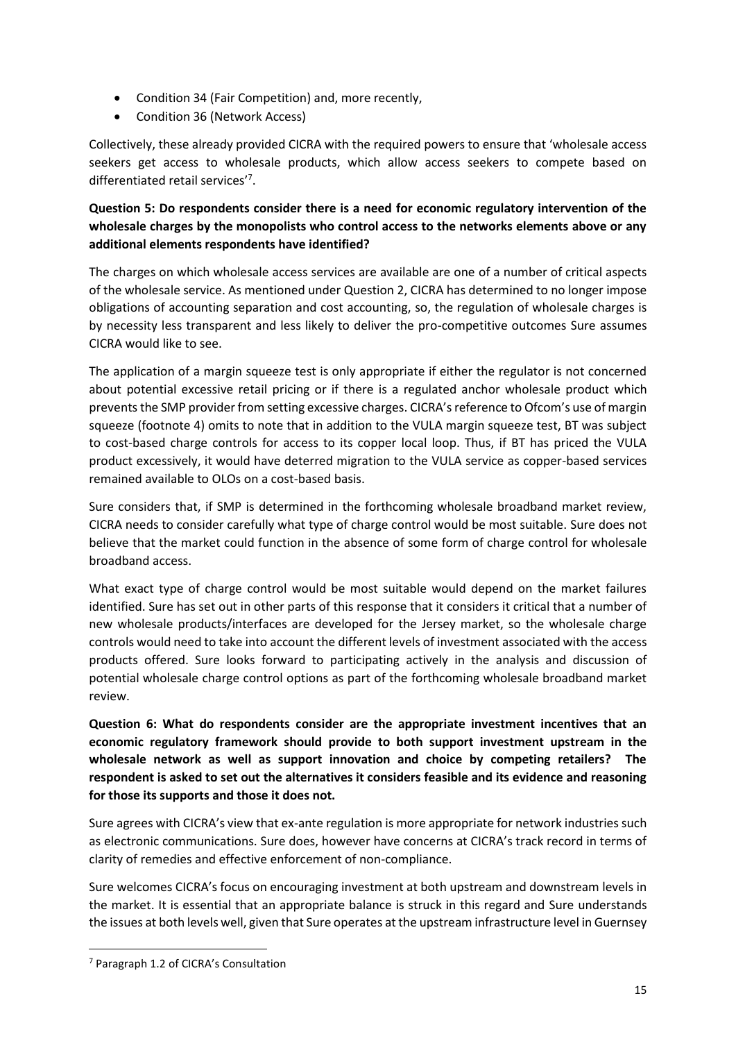- Condition 34 (Fair Competition) and, more recently,
- Condition 36 (Network Access)

Collectively, these already provided CICRA with the required powers to ensure that 'wholesale access seekers get access to wholesale products, which allow access seekers to compete based on differentiated retail services'<sup>7</sup> .

# **Question 5: Do respondents consider there is a need for economic regulatory intervention of the wholesale charges by the monopolists who control access to the networks elements above or any additional elements respondents have identified?**

The charges on which wholesale access services are available are one of a number of critical aspects of the wholesale service. As mentioned under Question 2, CICRA has determined to no longer impose obligations of accounting separation and cost accounting, so, the regulation of wholesale charges is by necessity less transparent and less likely to deliver the pro-competitive outcomes Sure assumes CICRA would like to see.

The application of a margin squeeze test is only appropriate if either the regulator is not concerned about potential excessive retail pricing or if there is a regulated anchor wholesale product which prevents the SMP provider from setting excessive charges. CICRA's reference to Ofcom's use of margin squeeze (footnote 4) omits to note that in addition to the VULA margin squeeze test, BT was subject to cost-based charge controls for access to its copper local loop. Thus, if BT has priced the VULA product excessively, it would have deterred migration to the VULA service as copper-based services remained available to OLOs on a cost-based basis.

Sure considers that, if SMP is determined in the forthcoming wholesale broadband market review, CICRA needs to consider carefully what type of charge control would be most suitable. Sure does not believe that the market could function in the absence of some form of charge control for wholesale broadband access.

What exact type of charge control would be most suitable would depend on the market failures identified. Sure has set out in other parts of this response that it considers it critical that a number of new wholesale products/interfaces are developed for the Jersey market, so the wholesale charge controls would need to take into account the different levels of investment associated with the access products offered. Sure looks forward to participating actively in the analysis and discussion of potential wholesale charge control options as part of the forthcoming wholesale broadband market review.

**Question 6: What do respondents consider are the appropriate investment incentives that an economic regulatory framework should provide to both support investment upstream in the wholesale network as well as support innovation and choice by competing retailers? The respondent is asked to set out the alternatives it considers feasible and its evidence and reasoning for those its supports and those it does not.** 

Sure agrees with CICRA's view that ex-ante regulation is more appropriate for network industries such as electronic communications. Sure does, however have concerns at CICRA's track record in terms of clarity of remedies and effective enforcement of non-compliance.

Sure welcomes CICRA's focus on encouraging investment at both upstream and downstream levels in the market. It is essential that an appropriate balance is struck in this regard and Sure understands the issues at both levels well, given that Sure operates at the upstream infrastructure level in Guernsey

**.** 

<sup>7</sup> Paragraph 1.2 of CICRA's Consultation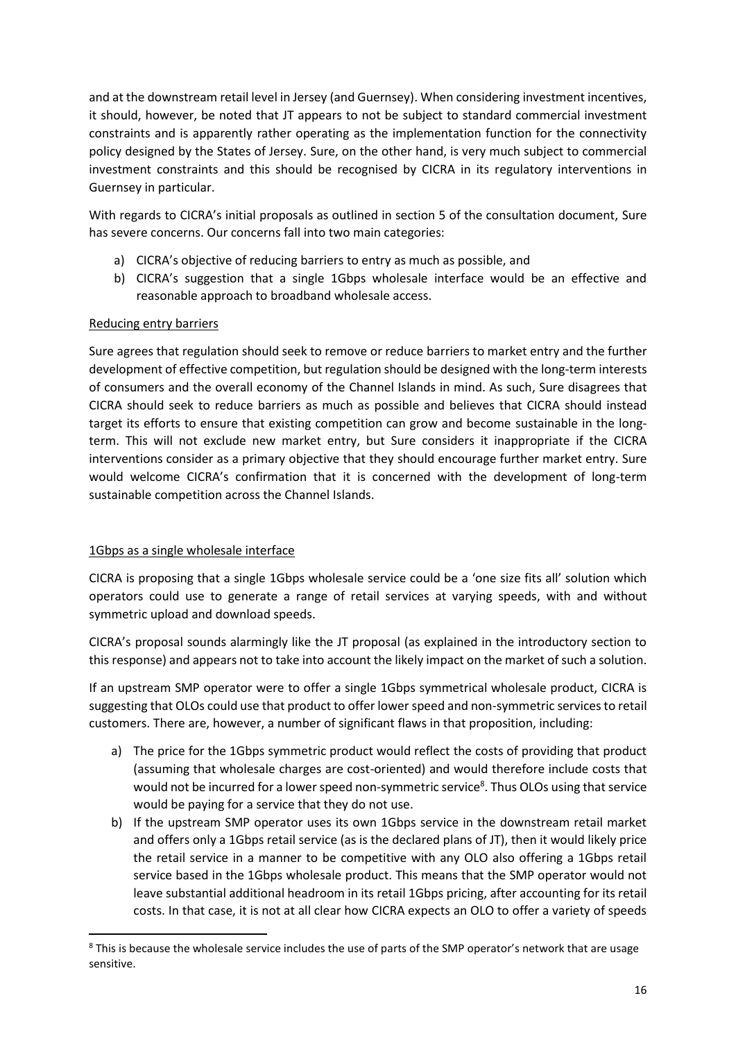and at the downstream retail level in Jersey (and Guernsey). When considering investment incentives, it should, however, be noted that JT appears to not be subject to standard commercial investment constraints and is apparently rather operating as the implementation function for the connectivity policy designed by the States of Jersey. Sure, on the other hand, is very much subject to commercial investment constraints and this should be recognised by CICRA in its regulatory interventions in Guernsey in particular.

With regards to CICRA's initial proposals as outlined in section 5 of the consultation document, Sure has severe concerns. Our concerns fall into two main categories:

- a) CICRA's objective of reducing barriers to entry as much as possible, and
- b) CICRA's suggestion that a single 1Gbps wholesale interface would be an effective and reasonable approach to broadband wholesale access.

## Reducing entry barriers

Sure agrees that regulation should seek to remove or reduce barriers to market entry and the further development of effective competition, but regulation should be designed with the long-term interests of consumers and the overall economy of the Channel Islands in mind. As such, Sure disagrees that CICRA should seek to reduce barriers as much as possible and believes that CICRA should instead target its efforts to ensure that existing competition can grow and become sustainable in the longterm. This will not exclude new market entry, but Sure considers it inappropriate if the CICRA interventions consider as a primary objective that they should encourage further market entry. Sure would welcome CICRA's confirmation that it is concerned with the development of long-term sustainable competition across the Channel Islands.

## 1Gbps as a single wholesale interface

1

CICRA is proposing that a single 1Gbps wholesale service could be a 'one size fits all' solution which operators could use to generate a range of retail services at varying speeds, with and without symmetric upload and download speeds.

CICRA's proposal sounds alarmingly like the JT proposal (as explained in the introductory section to this response) and appears not to take into account the likely impact on the market of such a solution.

If an upstream SMP operator were to offer a single 1Gbps symmetrical wholesale product, CICRA is suggesting that OLOs could use that product to offer lower speed and non-symmetric services to retail customers. There are, however, a number of significant flaws in that proposition, including:

- a) The price for the 1Gbps symmetric product would reflect the costs of providing that product (assuming that wholesale charges are cost-oriented) and would therefore include costs that would not be incurred for a lower speed non-symmetric service<sup>8</sup>. Thus OLOs using that service would be paying for a service that they do not use.
- b) If the upstream SMP operator uses its own 1Gbps service in the downstream retail market and offers only a 1Gbps retail service (as is the declared plans of JT), then it would likely price the retail service in a manner to be competitive with any OLO also offering a 1Gbps retail service based in the 1Gbps wholesale product. This means that the SMP operator would not leave substantial additional headroom in its retail 1Gbps pricing, after accounting for its retail costs. In that case, it is not at all clear how CICRA expects an OLO to offer a variety of speeds

<sup>&</sup>lt;sup>8</sup> This is because the wholesale service includes the use of parts of the SMP operator's network that are usage sensitive.